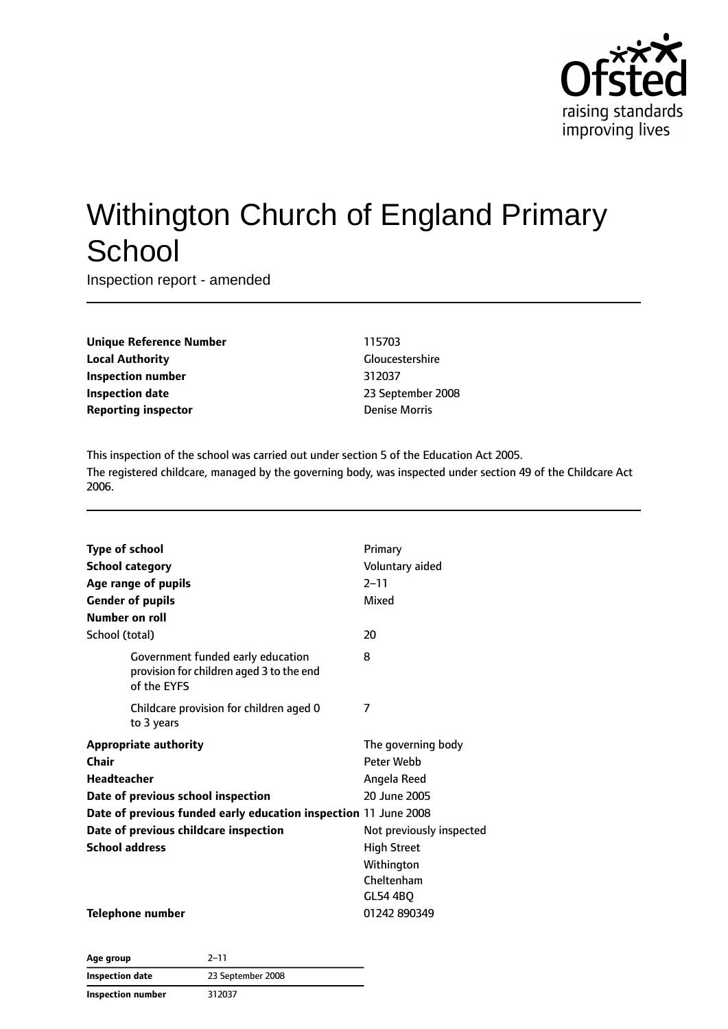

# Withington Church of England Primary **School**

Inspection report - amended

| <b>Unique Reference Number</b> |
|--------------------------------|
| <b>Local Authority</b>         |
| <b>Inspection number</b>       |
| <b>Inspection date</b>         |
| <b>Reporting inspector</b>     |

#### **Unique Reference Number** 115703 **Gloucestershire Inspection number** 312037 **Inspection date** 23 September 2008 **Denise Morris**

This inspection of the school was carried out under section 5 of the Education Act 2005. The registered childcare, managed by the governing body, was inspected under section 49 of the Childcare Act 2006.

| <b>Type of school</b><br><b>School category</b>                                              | Primary<br>Voluntary aided |
|----------------------------------------------------------------------------------------------|----------------------------|
| Age range of pupils<br><b>Gender of pupils</b>                                               | $2 - 11$<br>Mixed          |
| Number on roll                                                                               |                            |
| School (total)                                                                               | 20                         |
| Government funded early education<br>provision for children aged 3 to the end<br>of the EYFS | 8                          |
| Childcare provision for children aged 0<br>to 3 years                                        | 7                          |
| <b>Appropriate authority</b>                                                                 | The governing body         |
| Chair                                                                                        | Peter Webb                 |
| <b>Headteacher</b>                                                                           | Angela Reed                |
| Date of previous school inspection                                                           | 20 June 2005               |
| Date of previous funded early education inspection 11 June 2008                              |                            |
| Date of previous childcare inspection                                                        | Not previously inspected   |
| <b>School address</b>                                                                        | <b>High Street</b>         |
|                                                                                              | Withington                 |
|                                                                                              | Cheltenham                 |
|                                                                                              | GL54 4BQ                   |
| <b>Telephone number</b>                                                                      | 01242 890349               |

| Age group                | $2 - 11$          |
|--------------------------|-------------------|
| <b>Inspection date</b>   | 23 September 2008 |
| <b>Inspection number</b> | 312037            |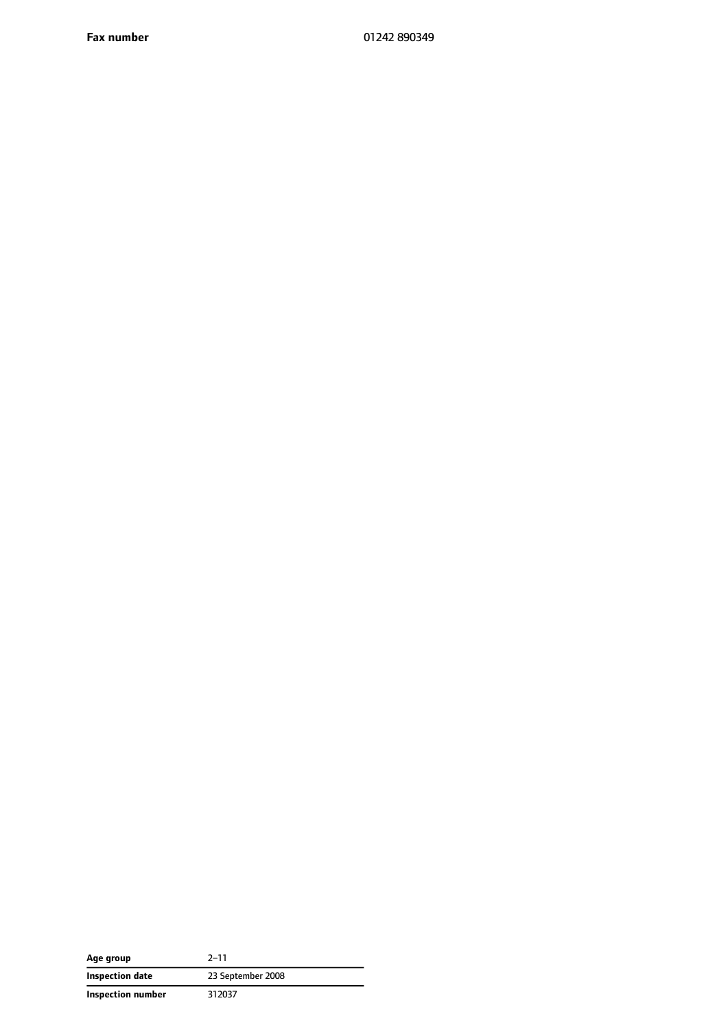| Age group                | $2 - 11$          |
|--------------------------|-------------------|
| Inspection date          | 23 September 2008 |
| <b>Inspection number</b> | 312037            |

 $\overline{\phantom{0}}$  $\overline{\phantom{0}}$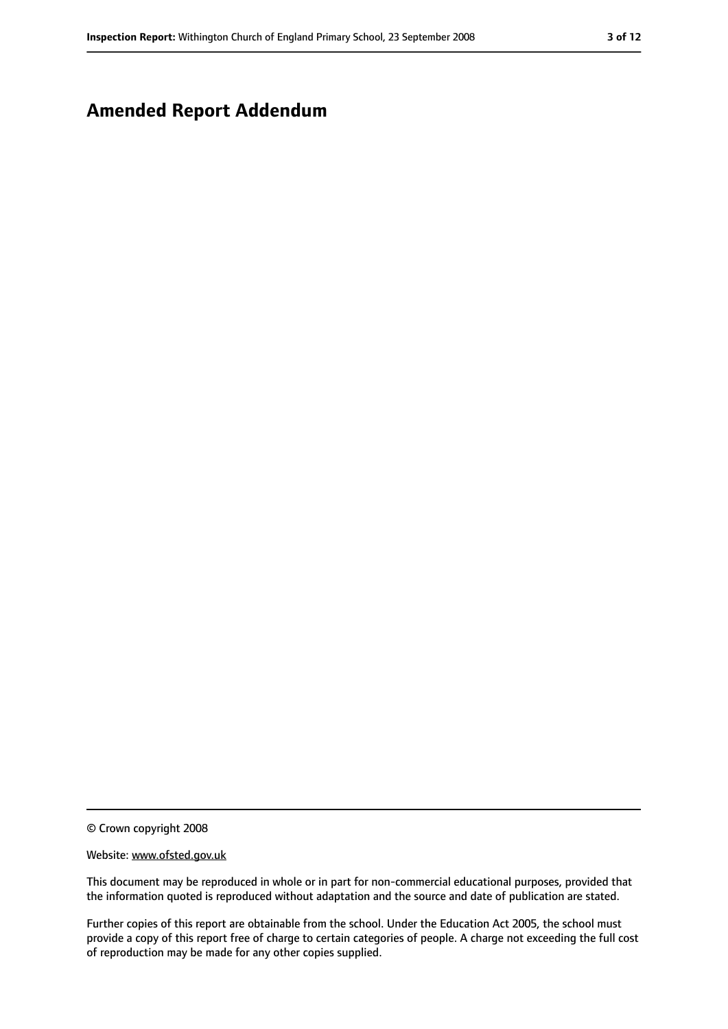### **Amended Report Addendum**

© Crown copyright 2008

#### Website: www.ofsted.gov.uk

This document may be reproduced in whole or in part for non-commercial educational purposes, provided that the information quoted is reproduced without adaptation and the source and date of publication are stated.

Further copies of this report are obtainable from the school. Under the Education Act 2005, the school must provide a copy of this report free of charge to certain categories of people. A charge not exceeding the full cost of reproduction may be made for any other copies supplied.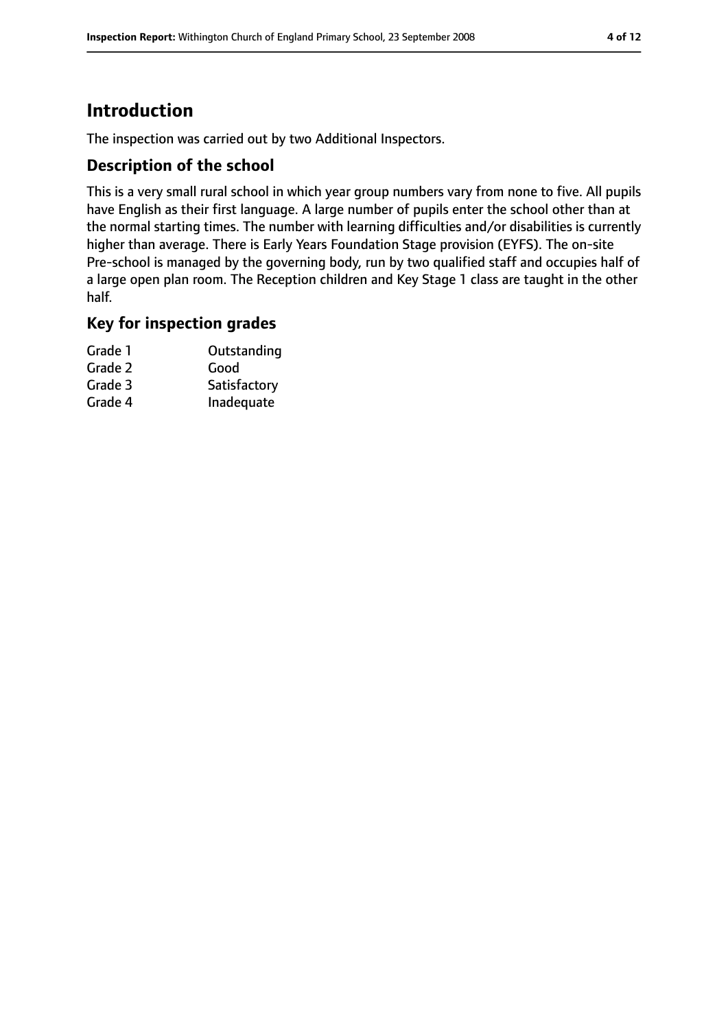### **Introduction**

The inspection was carried out by two Additional Inspectors.

#### **Description of the school**

This is a very small rural school in which year group numbers vary from none to five. All pupils have English as their first language. A large number of pupils enter the school other than at the normal starting times. The number with learning difficulties and/or disabilities is currently higher than average. There is Early Years Foundation Stage provision (EYFS). The on-site Pre-school is managed by the governing body, run by two qualified staff and occupies half of a large open plan room. The Reception children and Key Stage 1 class are taught in the other half.

#### **Key for inspection grades**

| Grade 1 | Outstanding  |
|---------|--------------|
| Grade 2 | Good         |
| Grade 3 | Satisfactory |
| Grade 4 | Inadequate   |
|         |              |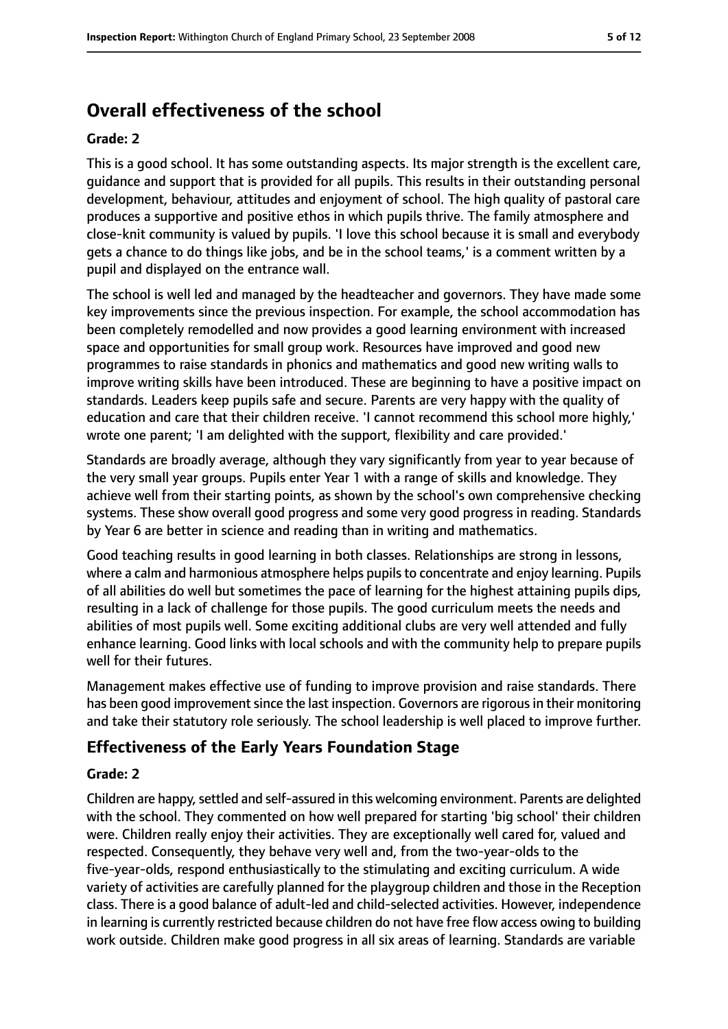### **Overall effectiveness of the school**

#### **Grade: 2**

This is a good school. It has some outstanding aspects. Its major strength is the excellent care, guidance and support that is provided for all pupils. This results in their outstanding personal development, behaviour, attitudes and enjoyment of school. The high quality of pastoral care produces a supportive and positive ethos in which pupils thrive. The family atmosphere and close-knit community is valued by pupils. 'I love this school because it is small and everybody gets a chance to do things like jobs, and be in the school teams,' is a comment written by a pupil and displayed on the entrance wall.

The school is well led and managed by the headteacher and governors. They have made some key improvements since the previous inspection. For example, the school accommodation has been completely remodelled and now provides a good learning environment with increased space and opportunities for small group work. Resources have improved and good new programmes to raise standards in phonics and mathematics and good new writing walls to improve writing skills have been introduced. These are beginning to have a positive impact on standards. Leaders keep pupils safe and secure. Parents are very happy with the quality of education and care that their children receive. 'I cannot recommend this school more highly,' wrote one parent; 'I am delighted with the support, flexibility and care provided.'

Standards are broadly average, although they vary significantly from year to year because of the very small year groups. Pupils enter Year 1 with a range of skills and knowledge. They achieve well from their starting points, as shown by the school's own comprehensive checking systems. These show overall good progress and some very good progress in reading. Standards by Year 6 are better in science and reading than in writing and mathematics.

Good teaching results in good learning in both classes. Relationships are strong in lessons, where a calm and harmonious atmosphere helps pupils to concentrate and enjoy learning. Pupils of all abilities do well but sometimes the pace of learning for the highest attaining pupils dips, resulting in a lack of challenge for those pupils. The good curriculum meets the needs and abilities of most pupils well. Some exciting additional clubs are very well attended and fully enhance learning. Good links with local schools and with the community help to prepare pupils well for their futures.

Management makes effective use of funding to improve provision and raise standards. There has been good improvement since the last inspection. Governors are rigorous in their monitoring and take their statutory role seriously. The school leadership is well placed to improve further.

### **Effectiveness of the Early Years Foundation Stage**

#### **Grade: 2**

Children are happy, settled and self-assured in this welcoming environment. Parents are delighted with the school. They commented on how well prepared for starting 'big school' their children were. Children really enjoy their activities. They are exceptionally well cared for, valued and respected. Consequently, they behave very well and, from the two-year-olds to the five-year-olds, respond enthusiastically to the stimulating and exciting curriculum. A wide variety of activities are carefully planned for the playgroup children and those in the Reception class. There is a good balance of adult-led and child-selected activities. However, independence in learning is currently restricted because children do not have free flow access owing to building work outside. Children make good progress in all six areas of learning. Standards are variable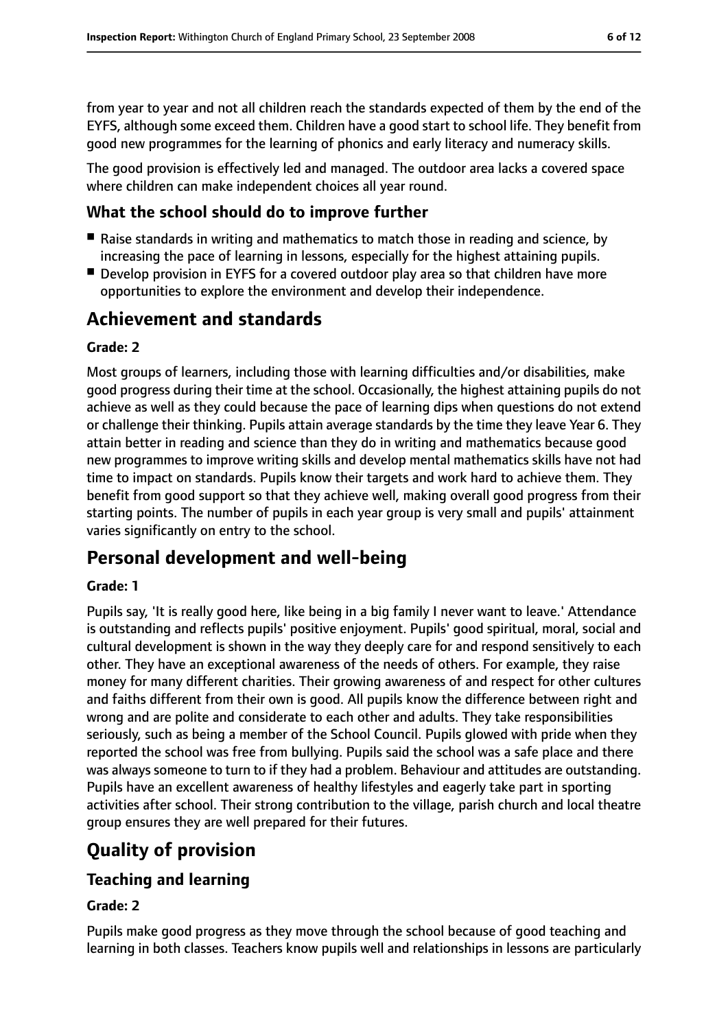from year to year and not all children reach the standards expected of them by the end of the EYFS, although some exceed them. Children have a good start to school life. They benefit from good new programmes for the learning of phonics and early literacy and numeracy skills.

The good provision is effectively led and managed. The outdoor area lacks a covered space where children can make independent choices all year round.

#### **What the school should do to improve further**

- Raise standards in writing and mathematics to match those in reading and science, by increasing the pace of learning in lessons, especially for the highest attaining pupils.
- Develop provision in EYFS for a covered outdoor play area so that children have more opportunities to explore the environment and develop their independence.

### **Achievement and standards**

#### **Grade: 2**

Most groups of learners, including those with learning difficulties and/or disabilities, make good progress during their time at the school. Occasionally, the highest attaining pupils do not achieve as well as they could because the pace of learning dips when questions do not extend or challenge their thinking. Pupils attain average standards by the time they leave Year 6. They attain better in reading and science than they do in writing and mathematics because good new programmes to improve writing skills and develop mental mathematics skills have not had time to impact on standards. Pupils know their targets and work hard to achieve them. They benefit from good support so that they achieve well, making overall good progress from their starting points. The number of pupils in each year group is very small and pupils' attainment varies significantly on entry to the school.

### **Personal development and well-being**

#### **Grade: 1**

Pupils say, 'It is really good here, like being in a big family I never want to leave.' Attendance is outstanding and reflects pupils' positive enjoyment. Pupils' good spiritual, moral, social and cultural development is shown in the way they deeply care for and respond sensitively to each other. They have an exceptional awareness of the needs of others. For example, they raise money for many different charities. Their growing awareness of and respect for other cultures and faiths different from their own is good. All pupils know the difference between right and wrong and are polite and considerate to each other and adults. They take responsibilities seriously, such as being a member of the School Council. Pupils glowed with pride when they reported the school was free from bullying. Pupils said the school was a safe place and there was always someone to turn to if they had a problem. Behaviour and attitudes are outstanding. Pupils have an excellent awareness of healthy lifestyles and eagerly take part in sporting activities after school. Their strong contribution to the village, parish church and local theatre group ensures they are well prepared for their futures.

### **Quality of provision**

### **Teaching and learning**

#### **Grade: 2**

Pupils make good progress as they move through the school because of good teaching and learning in both classes. Teachers know pupils well and relationships in lessons are particularly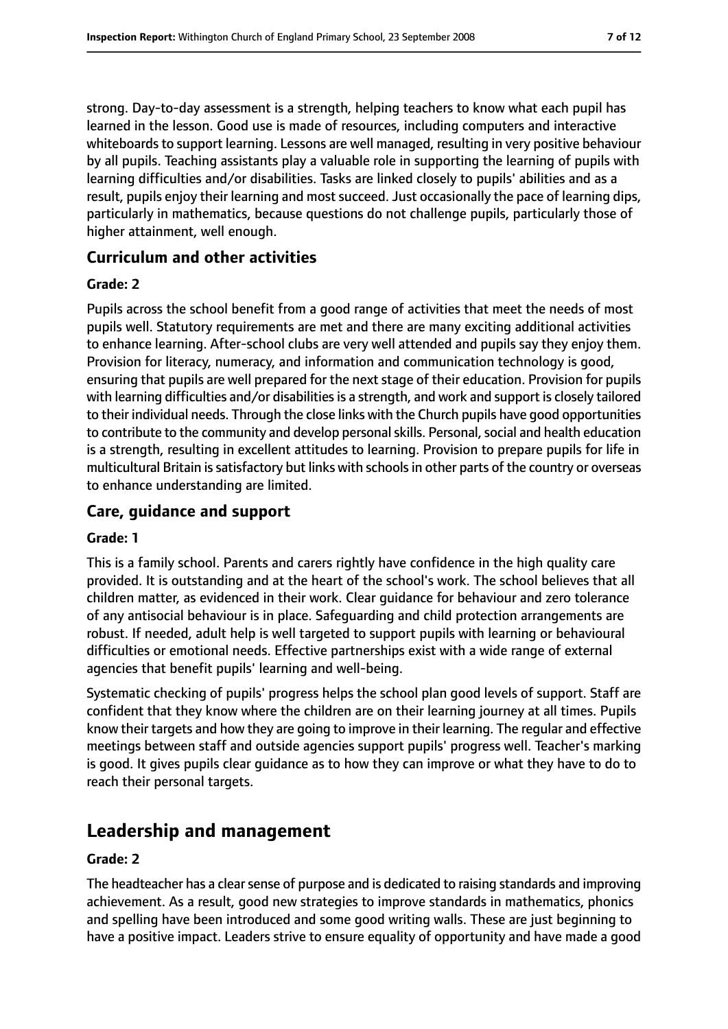strong. Day-to-day assessment is a strength, helping teachers to know what each pupil has learned in the lesson. Good use is made of resources, including computers and interactive whiteboards to support learning. Lessons are well managed, resulting in very positive behaviour by all pupils. Teaching assistants play a valuable role in supporting the learning of pupils with learning difficulties and/or disabilities. Tasks are linked closely to pupils' abilities and as a result, pupils enjoy their learning and most succeed. Just occasionally the pace of learning dips, particularly in mathematics, because questions do not challenge pupils, particularly those of higher attainment, well enough.

#### **Curriculum and other activities**

#### **Grade: 2**

Pupils across the school benefit from a good range of activities that meet the needs of most pupils well. Statutory requirements are met and there are many exciting additional activities to enhance learning. After-school clubs are very well attended and pupils say they enjoy them. Provision for literacy, numeracy, and information and communication technology is good, ensuring that pupils are well prepared for the next stage of their education. Provision for pupils with learning difficulties and/or disabilities is a strength, and work and support is closely tailored to their individual needs. Through the close links with the Church pupils have good opportunities to contribute to the community and develop personal skills. Personal, social and health education is a strength, resulting in excellent attitudes to learning. Provision to prepare pupils for life in multicultural Britain is satisfactory but links with schools in other parts of the country or overseas to enhance understanding are limited.

### **Care, guidance and support**

#### **Grade: 1**

This is a family school. Parents and carers rightly have confidence in the high quality care provided. It is outstanding and at the heart of the school's work. The school believes that all children matter, as evidenced in their work. Clear guidance for behaviour and zero tolerance of any antisocial behaviour is in place. Safeguarding and child protection arrangements are robust. If needed, adult help is well targeted to support pupils with learning or behavioural difficulties or emotional needs. Effective partnerships exist with a wide range of external agencies that benefit pupils' learning and well-being.

Systematic checking of pupils' progress helps the school plan good levels of support. Staff are confident that they know where the children are on their learning journey at all times. Pupils know their targets and how they are going to improve in their learning. The regular and effective meetings between staff and outside agencies support pupils' progress well. Teacher's marking is good. It gives pupils clear guidance as to how they can improve or what they have to do to reach their personal targets.

### **Leadership and management**

#### **Grade: 2**

The headteacher has a clear sense of purpose and is dedicated to raising standards and improving achievement. As a result, good new strategies to improve standards in mathematics, phonics and spelling have been introduced and some good writing walls. These are just beginning to have a positive impact. Leaders strive to ensure equality of opportunity and have made a good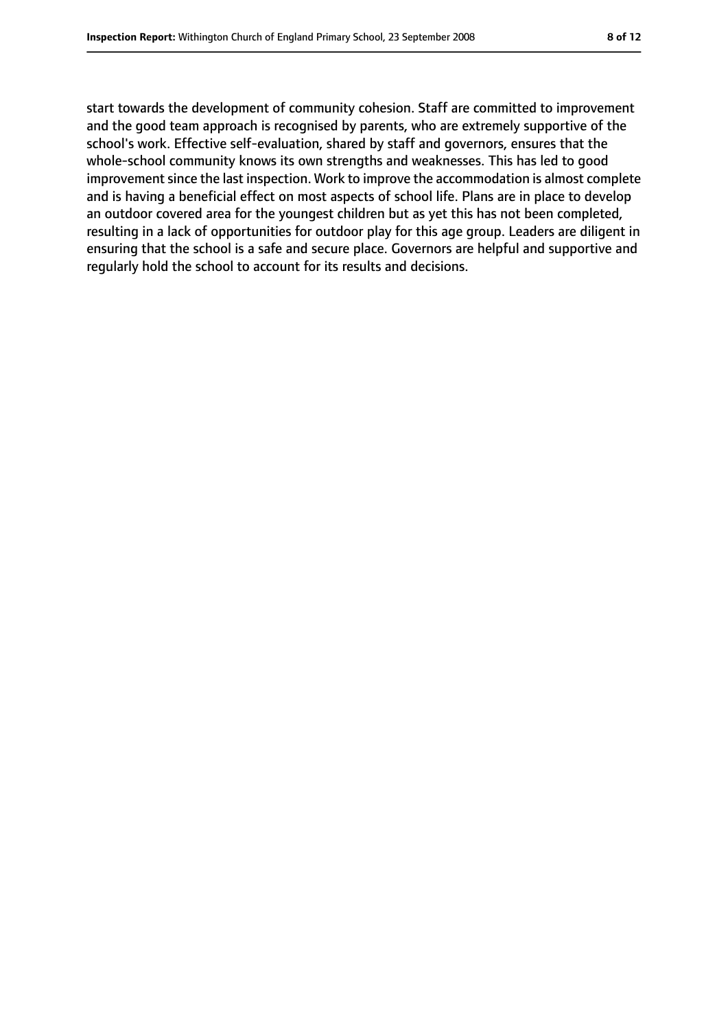start towards the development of community cohesion. Staff are committed to improvement and the good team approach is recognised by parents, who are extremely supportive of the school's work. Effective self-evaluation, shared by staff and governors, ensures that the whole-school community knows its own strengths and weaknesses. This has led to good improvement since the last inspection. Work to improve the accommodation is almost complete and is having a beneficial effect on most aspects of school life. Plans are in place to develop an outdoor covered area for the youngest children but as yet this has not been completed, resulting in a lack of opportunities for outdoor play for this age group. Leaders are diligent in ensuring that the school is a safe and secure place. Governors are helpful and supportive and regularly hold the school to account for its results and decisions.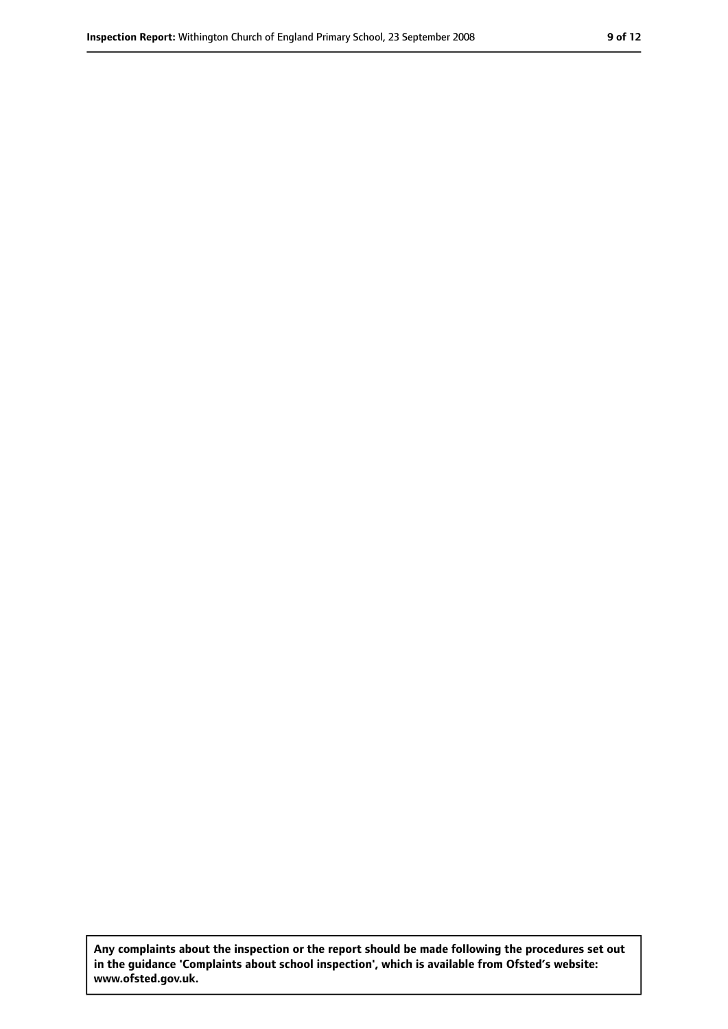**Any complaints about the inspection or the report should be made following the procedures set out in the guidance 'Complaints about school inspection', which is available from Ofsted's website: www.ofsted.gov.uk.**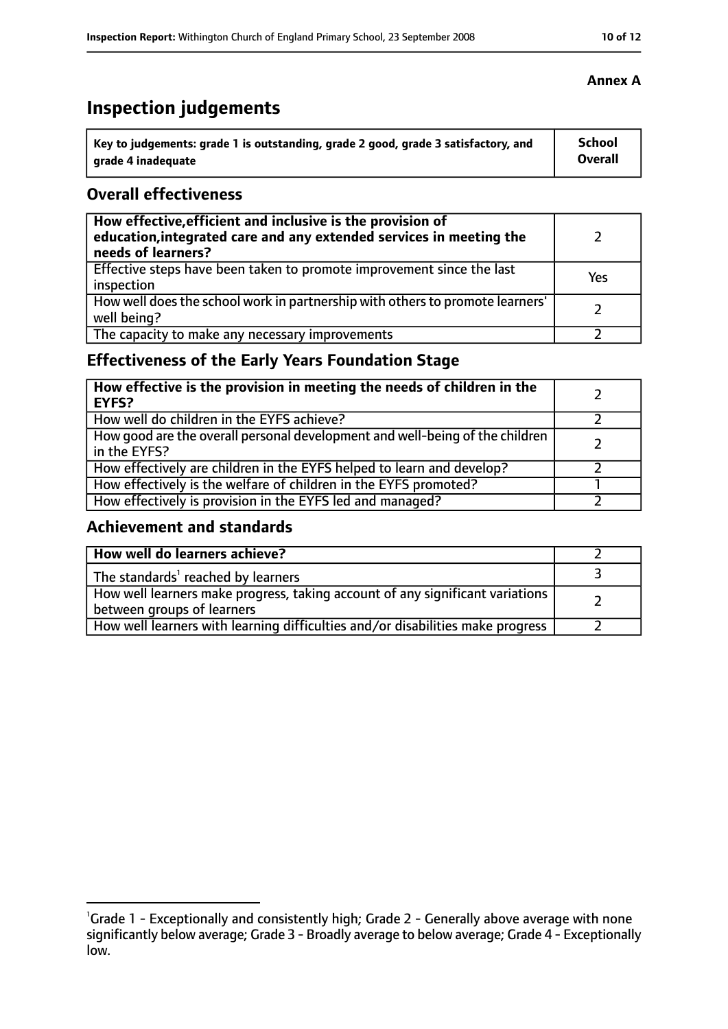### **Inspection judgements**

| \ Key to judgements: grade 1 is outstanding, grade 2 good, grade 3 satisfactory, and | <b>School</b>  |
|--------------------------------------------------------------------------------------|----------------|
| arade 4 inadequate                                                                   | <b>Overall</b> |

#### **Overall effectiveness**

| How effective, efficient and inclusive is the provision of<br>education, integrated care and any extended services in meeting the<br>needs of learners? |     |
|---------------------------------------------------------------------------------------------------------------------------------------------------------|-----|
| Effective steps have been taken to promote improvement since the last<br>inspection                                                                     | Yes |
| How well does the school work in partnership with others to promote learners'<br>well being?                                                            |     |
| The capacity to make any necessary improvements                                                                                                         |     |

### **Effectiveness of the Early Years Foundation Stage**

| How effective is the provision in meeting the needs of children in the<br><b>EYFS?</b>       |  |
|----------------------------------------------------------------------------------------------|--|
| How well do children in the EYFS achieve?                                                    |  |
| How good are the overall personal development and well-being of the children<br>in the EYFS? |  |
| How effectively are children in the EYFS helped to learn and develop?                        |  |
| How effectively is the welfare of children in the EYFS promoted?                             |  |
| How effectively is provision in the EYFS led and managed?                                    |  |

### **Achievement and standards**

| How well do learners achieve?                                                                               |  |
|-------------------------------------------------------------------------------------------------------------|--|
| The standards <sup>1</sup> reached by learners                                                              |  |
| How well learners make progress, taking account of any significant variations<br>between groups of learners |  |
| How well learners with learning difficulties and/or disabilities make progress                              |  |

<sup>&</sup>lt;sup>1</sup>Grade 1 - Exceptionally and consistently high; Grade 2 - Generally above average with none significantly below average; Grade 3 - Broadly average to below average; Grade 4 - Exceptionally

low.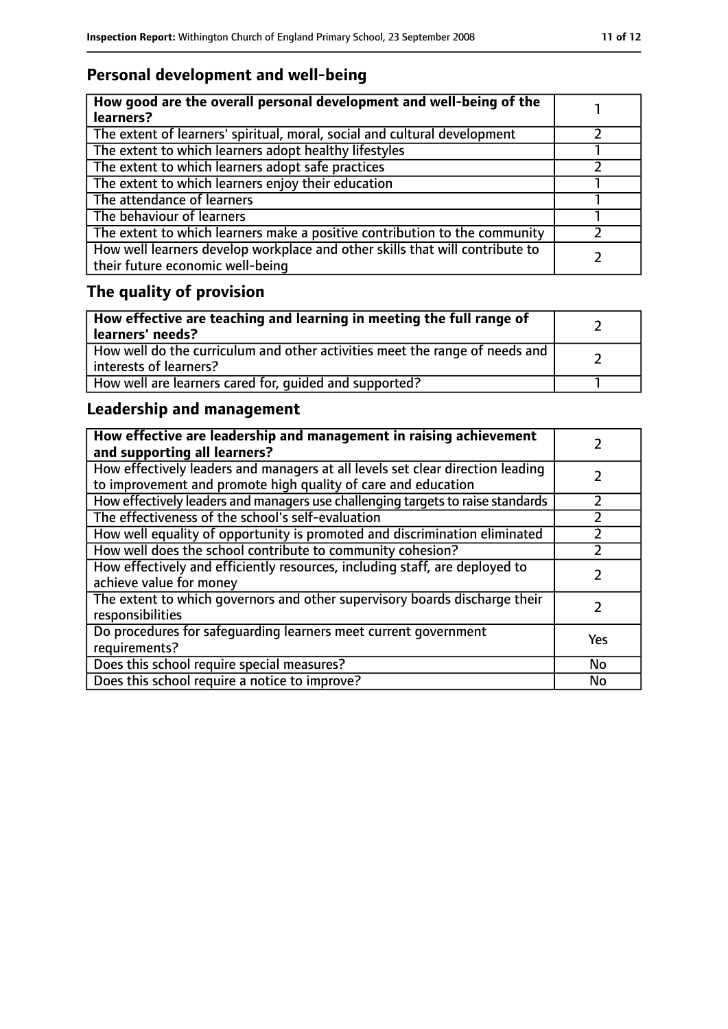### **Personal development and well-being**

| How good are the overall personal development and well-being of the<br>learners?                                 |  |
|------------------------------------------------------------------------------------------------------------------|--|
| The extent of learners' spiritual, moral, social and cultural development                                        |  |
| The extent to which learners adopt healthy lifestyles                                                            |  |
| The extent to which learners adopt safe practices                                                                |  |
| The extent to which learners enjoy their education                                                               |  |
| The attendance of learners                                                                                       |  |
| The behaviour of learners                                                                                        |  |
| The extent to which learners make a positive contribution to the community                                       |  |
| How well learners develop workplace and other skills that will contribute to<br>their future economic well-being |  |

## **The quality of provision**

| How effective are teaching and learning in meeting the full range of<br>learners' needs?              |  |
|-------------------------------------------------------------------------------------------------------|--|
| How well do the curriculum and other activities meet the range of needs and<br>interests of learners? |  |
| How well are learners cared for, quided and supported?                                                |  |

### **Leadership and management**

| How effective are leadership and management in raising achievement<br>and supporting all learners?                                              |           |
|-------------------------------------------------------------------------------------------------------------------------------------------------|-----------|
| How effectively leaders and managers at all levels set clear direction leading<br>to improvement and promote high quality of care and education |           |
| How effectively leaders and managers use challenging targets to raise standards                                                                 |           |
| The effectiveness of the school's self-evaluation                                                                                               |           |
| How well equality of opportunity is promoted and discrimination eliminated                                                                      |           |
| How well does the school contribute to community cohesion?                                                                                      |           |
| How effectively and efficiently resources, including staff, are deployed to<br>achieve value for money                                          |           |
| The extent to which governors and other supervisory boards discharge their<br>responsibilities                                                  |           |
| Do procedures for safequarding learners meet current government<br>requirements?                                                                | Yes       |
| Does this school require special measures?                                                                                                      | No        |
| Does this school require a notice to improve?                                                                                                   | <b>No</b> |